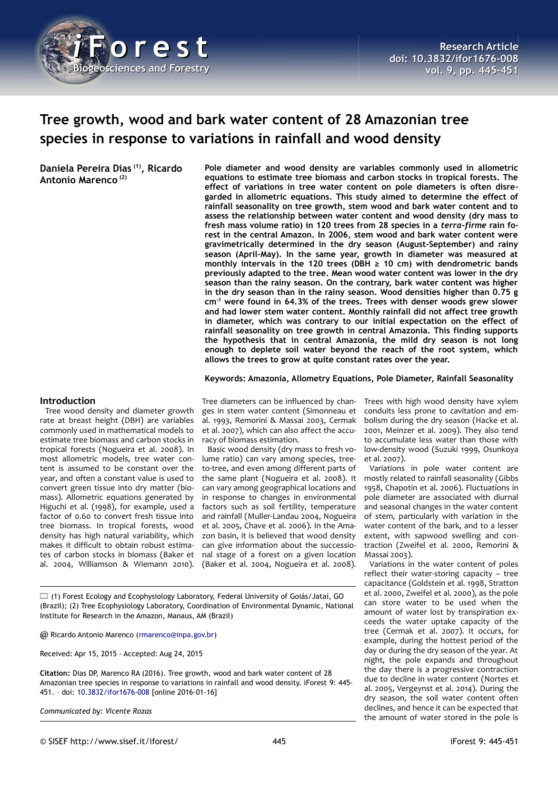

# **Tree growth, wood and bark water content of 28 Amazonian tree species in response to variations in rainfall and wood density**

**Daniela Pereira Dias (1), Ricardo Antonio Marenco (2)**

**Pole diameter and wood density are variables commonly used in allometric equations to estimate tree biomass and carbon stocks in tropical forests. The effect of variations in tree water content on pole diameters is often disregarded in allometric equations. This study aimed to determine the effect of rainfall seasonality on tree growth, stem wood and bark water content and to assess the relationship between water content and wood density (dry mass to fresh mass volume ratio) in 120 trees from 28 species in a** *terra-firme* **rain forest in the central Amazon. In 2006, stem wood and bark water content were gravimetrically determined in the dry season (August-September) and rainy season (April-May). In the same year, growth in diameter was measured at monthly intervals in the 120 trees (DBH ≥ 10 cm) with dendrometric bands previously adapted to the tree. Mean wood water content was lower in the dry season than the rainy season. On the contrary, bark water content was higher in the dry season than in the rainy season. Wood densities higher than 0.75 g cm-3 were found in 64.3% of the trees. Trees with denser woods grew slower and had lower stem water content. Monthly rainfall did not affect tree growth in diameter, which was contrary to our initial expectation on the effect of rainfall seasonality on tree growth in central Amazonia. This finding supports the hypothesis that in central Amazonia, the mild dry season is not long enough to deplete soil water beyond the reach of the root system, which allows the trees to grow at quite constant rates over the year.**

**Keywords: Amazonia, Allometry Equations, Pole Diameter, Rainfall Seasonality**

#### **Introduction**

Tree wood density and diameter growth rate at breast height (DBH) are variables commonly used in mathematical models to estimate tree biomass and carbon stocks in tropical forests (Nogueira et al. 2008). In most allometric models, tree water content is assumed to be constant over the year, and often a constant value is used to convert green tissue into dry matter (biomass). Allometric equations generated by Higuchi et al. (1998), for example, used a factor of 0.60 to convert fresh tissue into tree biomass. In tropical forests, wood density has high natural variability, which makes it difficult to obtain robust estimates of carbon stocks in biomass (Baker et al. 2004, Williamson & Wiemann 2010).

Tree diameters can be influenced by changes in stem water content (Simonneau et al. 1993, Remorini & Massai 2003, Cermak et al. 2007), which can also affect the accuracy of biomass estimation.

Basic wood density (dry mass to fresh volume ratio) can vary among species, treeto-tree, and even among different parts of the same plant (Nogueira et al. 2008). It can vary among geographical locations and in response to changes in environmental factors such as soil fertility, temperature and rainfall (Muller-Landau 2004, Nogueira et al. 2005, Chave et al. 2006). In the Amazon basin, it is believed that wood density can give information about the successional stage of a forest on a given location (Baker et al. 2004, Nogueira et al. 2008).

 $\Box$  (1) Forest Ecology and Ecophysiology Laboratory, Federal University of Goiás/Jataí, GO (Brazil); (2) Tree Ecophysiology Laboratory, Coordination of Environmental Dynamic, National Institute for Research in the Amazon, Manaus, AM (Brazil)

@ Ricardo Antonio Marenco [\(rmarenco@inpa.gov.br\)](mailto:rmarenco@inpa.gov.br)

Received: Apr 15, 2015 - Accepted: Aug 24, 2015

**Citation:** Dias DP, Marenco RA (2016). Tree growth, wood and bark water content of 28 Amazonian tree species in response to variations in rainfall and wood density. iForest 9: 445- 451. – doi: [10.3832/ifor1676-008](http://www.sisef.it/iforest/contents/?id=ifor1676-008) [online 2016-01-16]

*Communicated by: Vicente Rozas*

Trees with high wood density have xylem conduits less prone to cavitation and embolism during the dry season (Hacke et al. 2001, Meinzer et al. 2009). They also tend to accumulate less water than those with low-density wood (Suzuki 1999, Osunkoya et al. 2007).

Variations in pole water content are mostly related to rainfall seasonality (Gibbs 1958, Chapotin et al. 2006). Fluctuations in pole diameter are associated with diurnal and seasonal changes in the water content of stem, particularly with variation in the water content of the bark, and to a lesser extent, with sapwood swelling and contraction (Zweifel et al. 2000, Remorini & Massai 2003).

Variations in the water content of poles reflect their water-storing capacity – tree capacitance (Goldstein et al. 1998, Stratton et al. 2000, Zweifel et al. 2000), as the pole can store water to be used when the amount of water lost by transpiration exceeds the water uptake capacity of the tree (Cermak et al. 2007). It occurs, for example, during the hottest period of the day or during the dry season of the year. At night, the pole expands and throughout the day there is a progressive contraction due to decline in water content (Nortes et al. 2005, Vergeynst et al. 2014). During the dry season, the soil water content often declines, and hence it can be expected that the amount of water stored in the pole is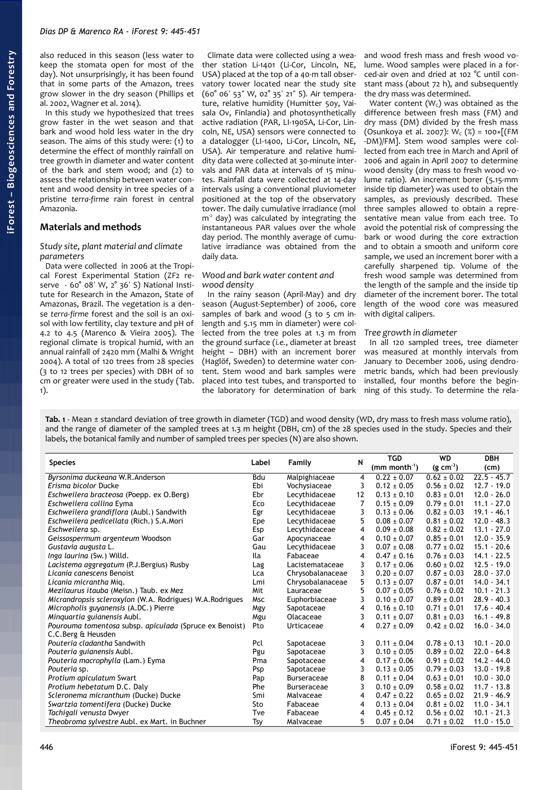also reduced in this season (less water to keep the stomata open for most of the day). Not unsurprisingly, it has been found that in some parts of the Amazon, trees grow slower in the dry season (Phillips et al. 2002, Wagner et al. 2014).

In this study we hypothesized that trees grow faster in the wet season and that bark and wood hold less water in the dry season. The aims of this study were: (1) to determine the effect of monthly rainfall on tree growth in diameter and water content of the bark and stem wood; and (2) to assess the relationship between water content and wood density in tree species of a pristine *terra-firme* rain forest in central Amazonia.

### **Materials and methods**

#### *Study site, plant material and climate parameters*

Data were collected in 2006 at the Tropical Forest Experimental Station (ZF2 reserve -  $60^{\circ}$   $08'$  W,  $2^{\circ}$  36' S) National Institute for Research in the Amazon, State of Amazonas, Brazil. The vegetation is a dense *terra-firme* forest and the soil is an oxisol with low fertility, clay texture and pH of 4.2 to 4.5 (Marenco & Vieira 2005). The regional climate is tropical humid, with an annual rainfall of 2420 mm (Malhi & Wright 2004). A total of 120 trees from 28 species (3 to 12 trees per species) with DBH of 10 cm or greater were used in the study [\(Tab.](#page-1-0) [1\)](#page-1-0).

Climate data were collected using a weather station Li-1401 (Li-Cor, Lincoln, NE, USA) placed at the top of a 40-m tall observatory tower located near the study site (60° 06' 53" W, 02° 35' 21" S). Air temperature, relative humidity (Humitter 50y, Vaisala Ov, Finlandia) and photosynthetically active radiation (PAR, LI-190SA, Li-Cor, Lincoln, NE, USA) sensors were connected to a datalogger (LI-1400, Li-Cor, Lincoln, NE, USA). Air temperature and relative humidity data were collected at 30-minute intervals and PAR data at intervals of 15 minutes. Rainfall data were collected at 14-day intervals using a conventional pluviometer positioned at the top of the observatory tower. The daily cumulative irradiance (mol  $m<sup>2</sup>$  day) was calculated by integrating the instantaneous PAR values over the whole day period. The monthly average of cumulative irradiance was obtained from the daily data.

#### *Wood and bark water content and wood density*

In the rainy season (April-May) and dry season (August-September) of 2006, core samples of bark and wood (3 to 5 cm inlength and 5.15 mm in diameter) were collected from the tree poles at 1.3 m from the ground surface (*i.e.*, diameter at breast height – DBH) with an increment borer (Haglöf, Sweden) to determine water content. Stem wood and bark samples were placed into test tubes, and transported to the laboratory for determination of bark

and wood fresh mass and fresh wood volume. Wood samples were placed in a forced-air oven and dried at 102 °C until constant mass (about 72 h), and subsequently the dry mass was determined.

Water content  $(W<sub>c</sub>)$  was obtained as the difference between fresh mass (FM) and dry mass (DM) divided by the fresh mass (Osunkoya et al. 2007):  $W_c$  (%) = 100×[(FM -DM)/FM]. Stem wood samples were collected from each tree in March and April of 2006 and again in April 2007 to determine wood density (dry mass to fresh wood volume ratio). An increment borer (5.15-mm inside tip diameter) was used to obtain the samples, as previously described. These three samples allowed to obtain a representative mean value from each tree. To avoid the potential risk of compressing the bark or wood during the core extraction and to obtain a smooth and uniform core sample, we used an increment borer with a carefully sharpened tip. Volume of the fresh wood sample was determined from the length of the sample and the inside tip diameter of the increment borer. The total length of the wood core was measured with digital calipers.

#### *Tree growth in diameter*

In all 120 sampled trees, tree diameter was measured at monthly intervals from January to December 2006, using dendrometric bands, which had been previously installed, four months before the beginning of this study. To determine the rela-

<span id="page-1-0"></span>**Tab. 1** - Mean ± standard deviation of tree growth in diameter (TGD) and wood density (WD, dry mass to fresh mass volume ratio), and the range of diameter of the sampled trees at 1.3 m height (DBH, cm) of the 28 species used in the study. Species and their labels, the botanical family and number of sampled trees per species (N) are also shown.

| <b>Species</b>                                            | Label      | <b>Family</b>      | N  | <b>TGD</b>                  | <b>WD</b>       | <b>DBH</b>    |
|-----------------------------------------------------------|------------|--------------------|----|-----------------------------|-----------------|---------------|
|                                                           |            |                    |    | $(mm$ month <sup>-1</sup> ) | $(g cm^{-3})$   | (cm)          |
| Byrsonima duckeana W.R.Anderson                           | Bdu        | Malpighiaceae      | 4  | $0.22 \pm 0.07$             | $0.62 \pm 0.02$ | $22.5 - 45.7$ |
| Erisma bicolor Ducke                                      | Ebi        | Vochysiaceae       | 3  | $0.12 \pm 0.05$             | $0.56 \pm 0.02$ | $12.7 - 19.0$ |
| Eschweilera bracteosa (Poepp. ex O.Berg)                  | Ebr        | Lecythidaceae      | 12 | $0.13 \pm 0.10$             | $0.83 \pm 0.01$ | $12.0 - 26.0$ |
| Eschweilera collina Eyma                                  | Eco        | Lecythidaceae      | 7  | $0.15 \pm 0.09$             | $0.79 \pm 0.01$ | $11.1 - 27.0$ |
| Eschweilera grandiflora (Aubl.) Sandwith                  | Egr        | Lecythidaceae      | 3  | $0.13 \pm 0.06$             | $0.82 \pm 0.03$ | $19.1 - 46.1$ |
| Eschweilera pedicellata (Rich.) S.A.Mori                  | Epe        | Lecythidaceae      | 5  | $0.08 \pm 0.07$             | $0.81 \pm 0.02$ | $12.0 - 48.3$ |
| Eschweilera sp.                                           | Esp        | Lecythidaceae      | 4  | $0.09 \pm 0.08$             | $0.82 \pm 0.02$ | $13.1 - 27.0$ |
| Geissospermum argenteum Woodson                           | Gar        | Apocynaceae        | 4  | $0.10 \pm 0.07$             | $0.85 \pm 0.01$ | $12.0 - 35.9$ |
| Gustavia augusta L.                                       | Gau        | Lecythidaceae      | 3  | $0.07 \pm 0.08$             | $0.77 \pm 0.02$ | $15.1 - 20.6$ |
| Inga laurina (Sw.) Willd.                                 | Ila        | Fabaceae           | 4  | $0.47 \pm 0.16$             | $0.76 \pm 0.03$ | $14.1 - 22.5$ |
| Lacistema aggregatum (P.J.Bergius) Rusby                  | Lag        | Lacistemataceae    | 3  | $0.17 \pm 0.06$             | $0.60 \pm 0.02$ | $12.5 - 19.0$ |
| Licania canescens Benoist                                 | Lca        | Chrysobalanaceae   | 3  | $0.20 \pm 0.07$             | $0.87 \pm 0.03$ | $28.0 - 37.0$ |
| Licania micrantha Mig.                                    | Lmi        | Chrysobalanaceae   | 5  | $0.13 \pm 0.07$             | $0.87 \pm 0.01$ | $14.0 - 34.1$ |
| Mezilaurus itauba (Meisn.) Taub. ex Mez                   | Mit        | Lauraceae          | 5  | $0.07 \pm 0.05$             | $0.76 \pm 0.02$ | $10.1 - 21.3$ |
| Micrandropsis scleroxylon (W.A. Rodrigues) W.A. Rodrigues | <b>Msc</b> | Euphorbiaceae      | 3  | $0.10 \pm 0.07$             | $0.89 \pm 0.01$ | $28.9 - 40.3$ |
| Micropholis guyanensis (A.DC.) Pierre                     | Mgy        | Sapotaceae         | 4  | $0.16 \pm 0.10$             | $0.71 \pm 0.01$ | $17.6 - 40.4$ |
| Minguartia guianensis Aubl.                               | Mgu        | Olacaceae          | 3  | $0.11 \pm 0.07$             | $0.81 \pm 0.03$ | $16.1 - 49.8$ |
| Pourouma tomentosa subsp. apiculada (Spruce ex Benoist)   | Pto        | Urticaceae         | 4  | $0.27 \pm 0.09$             | $0.42 \pm 0.02$ | $16.0 - 34.0$ |
| C.C.Berg & Heusden                                        |            |                    |    |                             |                 |               |
| Pouteria cladantha Sandwith                               | Pcl        | Sapotaceae         | 3  | $0.11 \pm 0.04$             | $0.78 \pm 0.13$ | $10.1 - 20.0$ |
| Pouteria guianensis Aubl.                                 | Pgu        | Sapotaceae         | 3  | $0.10 \pm 0.05$             | $0.89 \pm 0.02$ | $22.0 - 64.8$ |
| Pouteria macrophylla (Lam.) Eyma                          | Pma        | Sapotaceae         | 4  | $0.17 \pm 0.06$             | $0.91 \pm 0.02$ | $14.2 - 44.0$ |
| Pouteria sp.                                              | Psp        | Sapotaceae         | 3  | $0.13 \pm 0.05$             | $0.79 \pm 0.03$ | $13.0 - 19.8$ |
| Protium apiculatum Swart                                  | Pap        | <b>Burseraceae</b> | 8  | $0.11 \pm 0.04$             | $0.63 \pm 0.01$ | $10.0 - 30.0$ |
| Protium hebetatum D.C. Daly                               | Phe        | <b>Burseraceae</b> | 3  | $0.10 \pm 0.09$             | $0.58 \pm 0.02$ | $11.7 - 13.8$ |
| Scleronema micranthum (Ducke) Ducke                       | Smi        | Malvaceae          | 4  | $0.47 \pm 0.22$             | $0.65 \pm 0.02$ | $21.9 - 46.9$ |
| Swartzia tomentifera (Ducke) Ducke                        | Sto        | Fabaceae           | 4  | $0.13 \pm 0.04$             | $0.81 \pm 0.02$ | $11.0 - 34.1$ |
| Tachigali venusta Dwyer                                   | Tve        | Fabaceae           | 4  | $0.45 \pm 0.12$             | $0.56 \pm 0.02$ | $10.1 - 21.3$ |
| Theobroma sylvestre Aubl. ex Mart. in Buchner             | Tsy        | Malvaceae          | 5  | $0.07 \pm 0.04$             | $0.71 \pm 0.02$ | $11.0 - 15.0$ |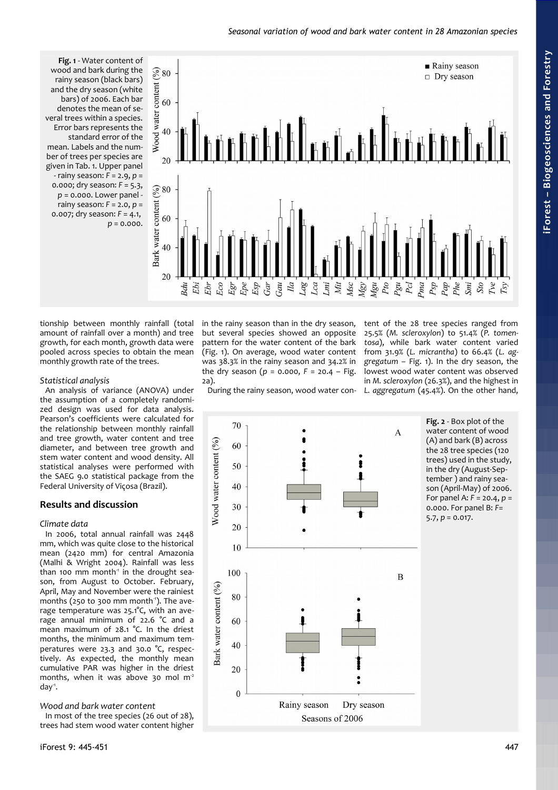#### *Seasonal variation of wood and bark water content in 28 Amazonian species*

<span id="page-2-0"></span>**Fig. 1** - Water content of wood and bark during the rainy season (black bars) and the dry season (white bars) of 2006. Each bar denotes the mean of several trees within a species. Error bars represents the standard error of the mean. Labels and the number of trees per species are given in [Tab. 1.](#page-1-0) Upper panel - rainy season: *F* = 2.9, *p* = 0.000; dry season: *F* = 5.3, *p* = 0.000. Lower panel rainy season: *F* = 2.0, *p* = 0.007; dry season: *F* = 4.1, *p* = 0.000.



tionship between monthly rainfall (total amount of rainfall over a month) and tree growth, for each month, growth data were pooled across species to obtain the mean monthly growth rate of the trees.

### *Statistical analysis*

An analysis of variance (ANOVA) under the assumption of a completely randomized design was used for data analysis. Pearson's coefficients were calculated for the relationship between monthly rainfall and tree growth, water content and tree diameter, and between tree growth and stem water content and wood density. All statistical analyses were performed with the SAEG 9.0 statistical package from the Federal University of Viçosa (Brazil).

## **Results and discussion**

## *Climate data*

In 2006, total annual rainfall was 2448 mm, which was quite close to the historical mean (2420 mm) for central Amazonia (Malhi & Wright 2004). Rainfall was less than 100 mm month<sup> $1$ </sup> in the drought season, from August to October. February, April, May and November were the rainiest months (250 to 300 mm month $1$ ). The average temperature was 25.1°C, with an average annual minimum of 22.6 °C and a mean maximum of 28.1 °C. In the driest months, the minimum and maximum temperatures were 23.3 and 30.0 °C, respectively. As expected, the monthly mean cumulative PAR was higher in the driest months, when it was above 30 mol  $m<sup>2</sup>$ day<sup>-1</sup>.

## *Wood and bark water content*

In most of the tree species (26 out of 28), trees had stem wood water content higher in the rainy season than in the dry season, but several species showed an opposite pattern for the water content of the bark [\(Fig. 1\)](#page-2-0). On average, wood water content was 38.3% in the rainy season and 34.2% in the dry season (*p* = 0.000, *F* = 20.4 – [Fig.](#page-2-1) [2a](#page-2-1)).

During the rainy season, wood water con-

tent of the 28 tree species ranged from 25.5% (*M. scleroxylon*) to 51.4% (*P. tomentosa*), while bark water content varied from 31.9% (*L. micrantha*) to 66.4% (*L. aggregatum* – [Fig. 1\)](#page-2-0). In the dry season, the lowest wood water content was observed in *M. scleroxylon* (26.3%), and the highest in *L. aggregatum* (45.4%). On the other hand,



<span id="page-2-1"></span>**Fig. 2** - Box plot of the water content of wood (A) and bark (B) across the 28 tree species (120 trees) used in the study, in the dry (August-September ) and rainy season (April-May) of 2006. For panel A: *F* = 20.4, *p* = 0.000. For panel B: *F*= 5.7, *p* = 0.017.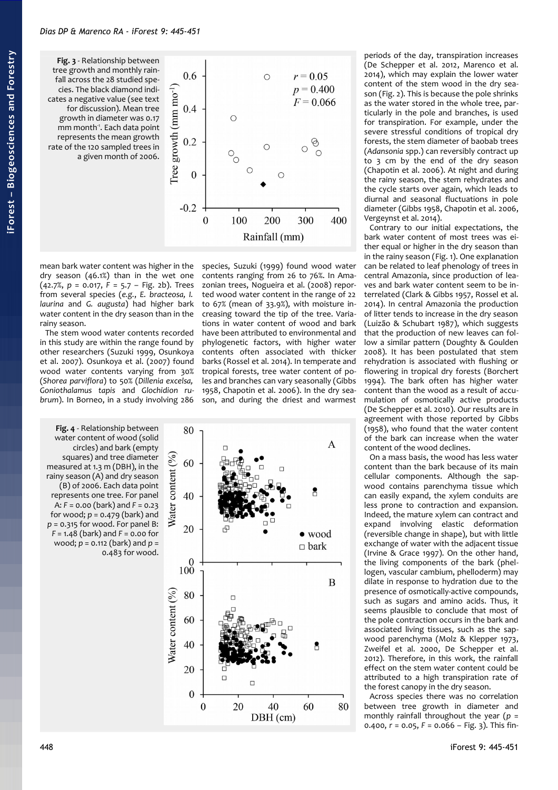<span id="page-3-0"></span>**Fig. 3** - Relationship between tree growth and monthly rainfall across the 28 studied species. The black diamond indicates a negative value (see text for discussion). Mean tree growth in diameter was 0.17 mm month<sup>1</sup>. Each data point represents the mean growth rate of the 120 sampled trees in a given month of 2006.



mean bark water content was higher in the dry season (46.1%) than in the wet one (42.7%, *p* = 0.017, *F* = 5.7 – [Fig. 2b](#page-2-1)). Trees from several species (*e.g.*, *E. bracteosa, I. laurina* and *G. augusta*) had higher bark water content in the dry season than in the rainy season.

The stem wood water contents recorded in this study are within the range found by other researchers (Suzuki 1999, Osunkoya et al. 2007). Osunkoya et al. (2007) found wood water contents varying from 30% (*Shorea parviflora*) to 50% (*Dillenia excelsa, Goniothalamus tapis* and *Glochidion rubrum*). In Borneo, in a study involving 286

<span id="page-3-1"></span>**Fig. 4** - Relationship between water content of wood (solid circles) and bark (empty squares) and tree diameter measured at 1.3 m (DBH), in the rainy season (A) and dry season (B) of 2006. Each data point represents one tree. For panel A: *F* = 0.00 (bark) and *F* = 0.23 for wood; *p* = 0.479 (bark) and *p* = 0.315 for wood. For panel B: *F* = 1.48 (bark) and *F* = 0.00 for wood; *p* = 0.112 (bark) and *p* = 0.483 for wood.

species, Suzuki (1999) found wood water contents ranging from 26 to 76%. In Amazonian trees, Nogueira et al. (2008) reported wood water content in the range of 22 to 67% (mean of 33.9%), with moisture increasing toward the tip of the tree. Variations in water content of wood and bark have been attributed to environmental and phylogenetic factors, with higher water contents often associated with thicker barks (Rossel et al. 2014). In temperate and tropical forests, tree water content of poles and branches can vary seasonally (Gibbs 1958, Chapotin et al. 2006). In the dry season, and during the driest and warmest



periods of the day, transpiration increases (De Schepper et al. 2012, Marenco et al. 2014), which may explain the lower water content of the stem wood in the dry season [\(Fig. 2\)](#page-2-1). This is because the pole shrinks as the water stored in the whole tree, particularly in the pole and branches, is used for transpiration. For example, under the severe stressful conditions of tropical dry forests, the stem diameter of baobab trees (*Adansonia* spp.) can reversibly contract up to 3 cm by the end of the dry season (Chapotin et al. 2006). At night and during the rainy season, the stem rehydrates and the cycle starts over again, which leads to diurnal and seasonal fluctuations in pole diameter (Gibbs 1958, Chapotin et al. 2006, Vergeynst et al. 2014).

Contrary to our initial expectations, the bark water content of most trees was either equal or higher in the dry season than in the rainy season [\(Fig. 1\)](#page-2-0). One explanation can be related to leaf phenology of trees in central Amazonia, since production of leaves and bark water content seem to be interrelated (Clark & Gibbs 1957, Rossel et al. 2014). In central Amazonia the production of litter tends to increase in the dry season (Luizão & Schubart 1987), which suggests that the production of new leaves can follow a similar pattern (Doughty & Goulden 2008). It has been postulated that stem rehydration is associated with flushing or flowering in tropical dry forests (Borchert 1994). The bark often has higher water content than the wood as a result of accumulation of osmotically active products (De Schepper et al. 2010). Our results are in agreement with those reported by Gibbs (1958), who found that the water content of the bark can increase when the water content of the wood declines.

On a mass basis, the wood has less water content than the bark because of its main cellular components. Although the sapwood contains parenchyma tissue which can easily expand, the xylem conduits are less prone to contraction and expansion. Indeed, the mature xylem can contract and expand involving elastic deformation (reversible change in shape), but with little exchange of water with the adjacent tissue (Irvine & Grace 1997). On the other hand, the living components of the bark (phellogen, vascular cambium, phelloderm) may dilate in response to hydration due to the presence of osmotically-active compounds, such as sugars and amino acids. Thus, it seems plausible to conclude that most of the pole contraction occurs in the bark and associated living tissues, such as the sapwood parenchyma (Molz & Klepper 1973, Zweifel et al. 2000, De Schepper et al. 2012). Therefore, in this work, the rainfall effect on the stem water content could be attributed to a high transpiration rate of the forest canopy in the dry season.

Across species there was no correlation between tree growth in diameter and monthly rainfall throughout the year (*p* = 0.400, *r* = 0.05, *F* = 0.066 – [Fig. 3\)](#page-3-0). This fin-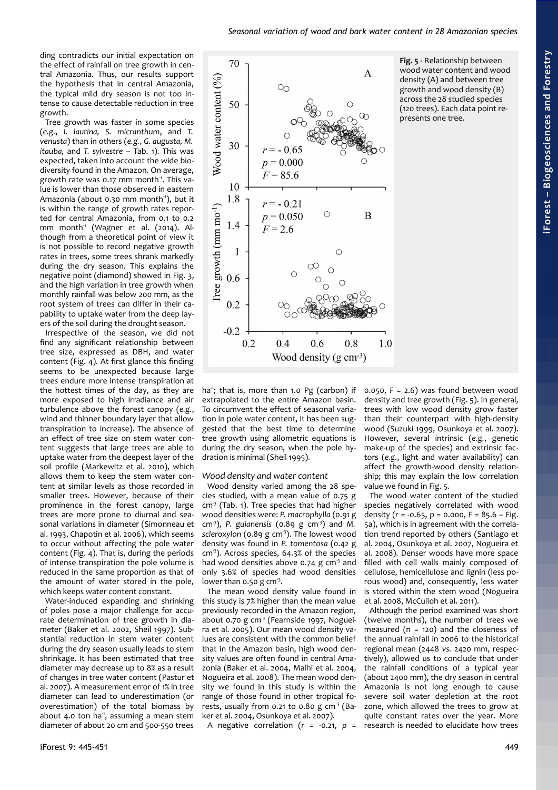ding contradicts our initial expectation on the effect of rainfall on tree growth in central Amazonia. Thus, our results support the hypothesis that in central Amazonia, the typical mild dry season is not too intense to cause detectable reduction in tree growth.

Tree growth was faster in some species (*e.g.*, *I. laurina, S. micranthum*, and *T. venusta*) than in others (*e.g.*, *G. augusta, M. itauba,* and *T. sylvestre –* [Tab. 1\)](#page-1-0). This was expected, taken into account the wide biodiversity found in the Amazon. On average, growth rate was 0.17 mm month<sup>1</sup>. This value is lower than those observed in eastern Amazonia (about 0.30 mm month<sup>1</sup>), but it is within the range of growth rates reported for central Amazonia, from 0.1 to 0.2 mm month<sup>1</sup> (Wagner et al. (2014). Although from a theoretical point of view it is not possible to record negative growth rates in trees, some trees shrank markedly during the dry season. This explains the negative point (diamond) showed in [Fig. 3,](#page-3-0) and the high variation in tree growth when monthly rainfall was below 200 mm, as the root system of trees can differ in their capability to uptake water from the deep layers of the soil during the drought season.

Irrespective of the season, we did not find any significant relationship between tree size, expressed as DBH, and water content [\(Fig. 4\)](#page-3-1). At first glance this finding seems to be unexpected because large trees endure more intense transpiration at the hottest times of the day, as they are more exposed to high irradiance and air turbulence above the forest canopy (*e.g.*, wind and thinner boundary layer that allow transpiration to increase). The absence of an effect of tree size on stem water content suggests that large trees are able to uptake water from the deepest layer of the soil profile (Markewitz et al. 2010), which allows them to keep the stem water content at similar levels as those recorded in smaller trees. However, because of their prominence in the forest canopy, large trees are more prone to diurnal and seasonal variations in diameter (Simonneau et al. 1993, Chapotin et al. 2006), which seems to occur without affecting the pole water content [\(Fig. 4\)](#page-3-1). That is, during the periods of intense transpiration the pole volume is reduced in the same proportion as that of the amount of water stored in the pole, which keeps water content constant.

Water-induced expanding and shrinking of poles pose a major challenge for accurate determination of tree growth in diameter (Baker et al. 2002, Sheil 1997). Substantial reduction in stem water content during the dry season usually leads to stem shrinkage. It has been estimated that tree diameter may decrease up to 8% as a result of changes in tree water content (Pastur et al. 2007). A measurement error of 1% in tree diameter can lead to underestimation (or overestimation) of the total biomass by about 4.0 ton ha<sup>1</sup>, assuming a mean stem diameter of about 20 cm and 500-550 trees



<span id="page-4-0"></span>**Fig. 5** - Relationship between wood water content and wood density (A) and between tree growth and wood density (B) across the 28 studied species (120 trees). Each data point represents one tree.

ha<sup>-1</sup>; that is, more than 1.0 Pg (carbon) if extrapolated to the entire Amazon basin. To circumvent the effect of seasonal variation in pole water content, it has been suggested that the best time to determine tree growth using allometric equations is during the dry season, when the pole hydration is minimal (Sheil 1995).

#### *Wood density and water content*

Wood density varied among the 28 species studied, with a mean value of 0.75 g cm<sup>3</sup> [\(Tab. 1\)](#page-1-0). Tree species that had higher wood densities were: P. macrophylla (0.91 g cm-3), *P. guianensis* (0.89 g cm-3) and *M. scleroxylon* (0.89 g cm-3). The lowest wood density was found in *P. tomentosa* (0.42 g  $cm<sup>3</sup>$ ). Across species, 64.3% of the species had wood densities above 0.74  $g$  cm<sup>-3</sup> and only 3.6% of species had wood densities lower than  $0.50$  g cm<sup>-3</sup>.

The mean wood density value found in this study is 7% higher than the mean value previously recorded in the Amazon region, about  $0.70$  g cm<sup>-3</sup> (Fearnside 1997, Nogueira et al. 2005). Our mean wood density values are consistent with the common belief that in the Amazon basin, high wood density values are often found in central Amazonia (Baker et al. 2004, Malhi et al. 2004, Nogueira et al. 2008). The mean wood density we found in this study is within the range of those found in other tropical forests, usually from 0.21 to 0.80 g  $cm<sup>3</sup>$  (Baker et al. 2004, Osunkoya et al. 2007).

A negative correlation  $(r = -0.21, p =$ 

0.050, *F* = 2.6) was found between wood density and tree growth [\(Fig. 5\)](#page-4-0). In general, trees with low wood density grow faster than their counterpart with high-density wood (Suzuki 1999, Osunkoya et al. 2007). However, several intrinsic (*e.g.*, genetic make-up of the species) and extrinsic factors (*e.g.*, light and water availability) can affect the growth-wood density relationship; this may explain the low correlation value we found in [Fig. 5.](#page-4-0)

The wood water content of the studied species negatively correlated with wood density (*r* = -0.65, *p* = 0.000, *F* = 85.6 – [Fig.](#page-4-0) [5a](#page-4-0)), which is in agreement with the correlation trend reported by others (Santiago et al. 2004, Osunkoya et al. 2007, Nogueira et al. 2008). Denser woods have more space filled with cell walls mainly composed of cellulose, hemicellulose and lignin (less porous wood) and, consequently, less water is stored within the stem wood (Nogueira et al. 2008, McCulloh et al. 2011).

Although the period examined was short (twelve months), the number of trees we measured ( $n = 120$ ) and the closeness of the annual rainfall in 2006 to the historical regional mean (2448 *vs.* 2420 mm, respectively), allowed us to conclude that under the rainfall conditions of a typical year (about 2400 mm), the dry season in central Amazonia is not long enough to cause severe soil water depletion at the root zone, which allowed the trees to grow at quite constant rates over the year. More research is needed to elucidate how trees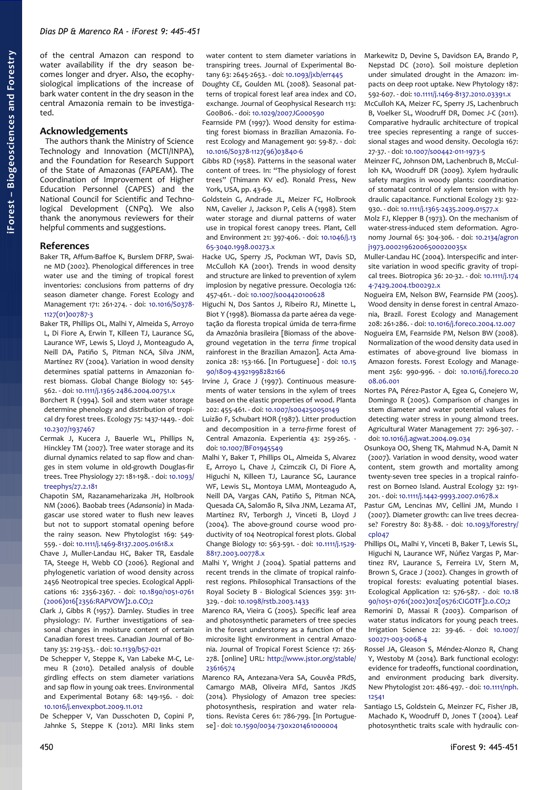of the central Amazon can respond to water availability if the dry season becomes longer and dryer. Also, the ecophysiological implications of the increase of bark water content in the dry season in the central Amazonia remain to be investigated.

#### **Acknowledgements**

The authors thank the Ministry of Science Technology and Innovation (MCTI/INPA), and the Foundation for Research Support of the State of Amazonas (FAPEAM). The Coordination of Improvement of Higher Education Personnel (CAPES) and the National Council for Scientific and Technological Development (CNPq). We also thank the anonymous reviewers for their helpful comments and suggestions.

#### **References**

- Baker TR, Affum-Baffoe K, Burslem DFRP, Swaine MD (2002). Phenological differences in tree water use and the timing of tropical forest inventories: conclusions from patterns of dry season diameter change. Forest Ecology and Management 171: 261-274. - doi: [10.1016/S0378-](http://dx.doi.org/10.1016/S0378-1127(01)00787-3) [1127\(01\)00787-3](http://dx.doi.org/10.1016/S0378-1127(01)00787-3)
- Baker TR, Phillips OL, Malhi Y, Almeida S, Arroyo L, Di Fiore A, Erwin T, Killeen TJ, Laurance SG, Laurance WF, Lewis S, Lloyd J, Monteagudo A, Neill DA, Patiño S, Pitman NCA, Silva JNM, Martínez RV (2004). Variation in wood density determines spatial patterns in Amazonian forest biomass. Global Change Biology 10: 545- 562. - doi: [10.1111/j.1365-2486.2004.00751.x](http://dx.doi.org/10.1111/j.1365-2486.2004.00751.x)
- Borchert R (1994). Soil and stem water storage determine phenology and distribution of tropical dry forest trees. Ecology 75: 1437-1449. - doi: [10.2307/1937467](http://dx.doi.org/10.2307/1937467)
- Cermak J, Kucera J, Bauerle WL, Phillips N, Hinckley TM (2007). Tree water storage and its diurnal dynamics related to sap flow and changes in stem volume in old-growth Douglas-fir trees. Tree Physiology 27: 181-198. - doi: [10.1093/](http://dx.doi.org/10.1093/treephys/27.2.181) [treephys/27.2.181](http://dx.doi.org/10.1093/treephys/27.2.181)
- Chapotin SM, Razanameharizaka JH, Holbrook NM (2006). Baobab trees (*Adansonia*) in Madagascar use stored water to flush new leaves but not to support stomatal opening before the rainy season. New Phytologist 169: 549- 559. - doi: [10.1111/j.1469-8137.2005.01618.x](http://dx.doi.org/10.1111/j.1469-8137.2005.01618.x)
- Chave J, Muller-Landau HC, Baker TR, Easdale TA, Steege H, Webb CO (2006). Regional and phylogenetic variation of wood density across 2456 Neotropical tree species. Ecological Applications 16: 2356-2367. - doi: [10.1890/1051-0761](http://dx.doi.org/10.1890/1051-0761(2006)016%5B2356:RAPVOW%5D2.0.CO;2) [\(2006\)016\[2356:RAPVOW\]2.0.CO;2](http://dx.doi.org/10.1890/1051-0761(2006)016%5B2356:RAPVOW%5D2.0.CO;2)
- Clark J, Gibbs R (1957). Darnley. Studies in tree physiology: IV. Further investigations of seasonal changes in moisture content of certain Canadian forest trees. Canadian Journal of Botany 35: 219-253. - doi: [10.1139/b57-021](http://dx.doi.org/10.1139/b57-021)
- De Schepper V, Steppe K, Van Labeke M-C, Lemeu R (2010). Detailed analysis of double girdling effects on stem diameter variations and sap flow in young oak trees. Environmental and Experimental Botany 68: 149-156. - doi: [10.1016/j.envexpbot.2009.11.012](http://dx.doi.org/10.1016/j.envexpbot.2009.11.012)
- De Schepper V, Van Dusschoten D, Copini P, Jahnke S, Steppe K (2012). MRI links stem

water content to stem diameter variations in transpiring trees. Journal of Experimental Botany 63: 2645-2653. - doi: [10.1093/jxb/err445](http://dx.doi.org/10.1093/jxb/err445) Doughty CE, Goulden ML (2008). Seasonal patterns of tropical forest leaf area index and  $CO<sub>2</sub>$ exchange. Journal of Geophysical Research 113: G00B06. - doi: [10.1029/2007JG000590](http://dx.doi.org/10.1029/2007JG000590)

Fearnside PM (1997). Wood density for estimating forest biomass in Brazilian Amazonia. Forest Ecology and Management 90: 59-87. - doi: [10.1016/S0378-1127\(96\)03840-6](http://dx.doi.org/10.1016/S0378-1127(96)03840-6)

Gibbs RD (1958). Patterns in the seasonal water content of trees. In: "The physiology of forest trees" (Thimann KV ed). Ronald Press, New York, USA, pp. 43-69.

Goldstein G, Andrade JL, Meizer FC, Holbrook NM, Cavelier J, Jackson P, Celis A (1998). Stem water storage and diurnal patterns of water use in tropical forest canopy trees. Plant, Cell and Environment 21: 397-406. - doi: [10.1046/j.13](http://dx.doi.org/10.1046/j.1365-3040.1998.00273.x) [65-3040.1998.00273.x](http://dx.doi.org/10.1046/j.1365-3040.1998.00273.x)

Hacke UG, Sperry JS, Pockman WT, Davis SD, McCulloh KA (2001). Trends in wood density and structure are linked to prevention of xylem implosion by negative pressure. Oecologia 126: 457-461. - doi: [10.1007/s004420100628](http://dx.doi.org/10.1007/s004420100628)

Higuchi N, Dos Santos J, Ribeiro RJ, Minette L, Biot Y (1998). Biomassa da parte aérea da vegetação da floresta tropical úmida de terra-firme da Amazônia brasileira [Biomass of the aboveground vegetation in the *terra firme* tropical rainforest in the Brazilian Amazon]. Acta Amazonica 28: 153-166. [In Portuguese] - doi: [10.15](http://dx.doi.org/10.1590/1809-43921998282166) [90/1809-43921998282166](http://dx.doi.org/10.1590/1809-43921998282166)

Irvine J, Grace J (1997). Continuous measurements of water tensions in the xylem of trees based on the elastic properties of wood. Planta 202: 455-461. - doi: [10.1007/s004250050149](http://dx.doi.org/10.1007/s004250050149)

Luizão F, Schubart HOR (1987). Litter production and decomposition in a *terra-firme* forest of Central Amazonia. Experientia 43: 259-265. doi: [10.1007/BF01945549](http://dx.doi.org/10.1007/BF01945549)

Malhi Y, Baker T, Phillips OL, Almeida S, Alvarez E, Arroyo L, Chave J, Czimczik CI, Di Fiore A, Higuchi N, Killeen TJ, Laurance SG, Laurance WF, Lewis SL, Montoya LMM, Monteagudo A, Neill DA, Vargas CAN, Patiño S, Pitman NCA, Quesada CA, Salomão R, Silva JNM, Lezama AT, Martínez RV, Terborgh J, Vinceti B, Lloyd J (2004). The above-ground course wood productivity of 104 Neotropical forest plots. Global Change Biology 10: 563-591. - doi: [10.1111/j.1529-](http://dx.doi.org/10.1111/j.1529-8817.2003.00778.x) [8817.2003.00778.x](http://dx.doi.org/10.1111/j.1529-8817.2003.00778.x)

- Malhi Y, Wright J (2004). Spatial patterns and recent trends in the climate of tropical rainforest regions. Philosophical Transactions of the Royal Society B - Biological Sciences 359: 311- 329. - doi: [10.1098/rstb.2003.1433](http://dx.doi.org/10.1098/rstb.2003.1433)
- Marenco RA, Vieira G (2005). Specific leaf area and photosynthetic parameters of tree species in the forest understorey as a function of the microsite light environment in central Amazonia. Journal of Tropical Forest Science 17: 265- 278. [online] URL: [http://www.jstor.org/stable/](http://www.jstor.org/stable/23616574) [23616574](http://www.jstor.org/stable/23616574)
- Marenco RA, Antezana-Vera SA, Gouvêa PRdS, Camargo MAB, Oliveira MFd, Santos JKdS (2014). Physiology of Amazon tree species: photosynthesis, respiration and water relations. Revista Ceres 61: 786-799. [In Portuguese] - doi: [10.1590/0034-730x201461000004](http://dx.doi.org/10.1590/0034-730x201461000004)
- Markewitz D, Devine S, Davidson EA, Brando P, Nepstad DC (2010). Soil moisture depletion under simulated drought in the Amazon: impacts on deep root uptake. New Phytology 187: 592-607. - doi: [10.1111/j.1469-8137.2010.03391.x](http://dx.doi.org/10.1111/j.1469-8137.2010.03391.x)
- McCulloh KA, Meizer FC, Sperry JS, Lachenbruch B, Voelker SL, Woodruff DR, Domec J-C (2011). Comparative hydraulic architecture of tropical tree species representing a range of successional stages and wood density. Oecologia 167: 27-37. - doi: [10.1007/s00442-011-1973-5](http://dx.doi.org/10.1007/s00442-011-1973-5)
- Meinzer FC, Johnson DM, Lachenbruch B, McCulloh KA, Woodruff DR (2009). Xylem hydraulic safety margins in woody plants: coordination of stomatal control of xylem tension with hydraulic capacitance. Functional Ecology 23: 922- 930. - doi: [10.1111/j.1365-2435.2009.01577.x](http://dx.doi.org/10.1111/j.1365-2435.2009.01577.x)
- Molz FJ, Klepper B (1973). On the mechanism of water-stress-induced stem deformation. Agronomy Journal 65: 304-306. - doi: [10.2134/agron](http://dx.doi.org/10.2134/agronj1973.00021962006500020035x) [j1973.00021962006500020035x](http://dx.doi.org/10.2134/agronj1973.00021962006500020035x)
- Muller-Landau HC (2004). Interspecific and intersite variation in wood specific gravity of tropical trees. Biotropica 36: 20-32. - doi: [10.1111/j.174](http://dx.doi.org/10.1111/j.1744-7429.2004.tb00292.x) [4-7429.2004.tb00292.x](http://dx.doi.org/10.1111/j.1744-7429.2004.tb00292.x)
- Nogueira EM, Nelson BW, Fearnside PM (2005). Wood density in dense forest in central Amazonia, Brazil. Forest Ecology and Management 208: 261-286. - doi: [10.1016/j.foreco.2004.12.007](http://dx.doi.org/10.1016/j.foreco.2004.12.007)
- Nogueira EM, Fearnside PM, Nelson BW (2008). Normalization of the wood density data used in estimates of above-ground live biomass in Amazon forests. Forest Ecology and Management 256: 990-996. - doi: [10.1016/j.foreco.20](http://dx.doi.org/10.1016/j.foreco.2008.06.001) [08.06.001](http://dx.doi.org/10.1016/j.foreco.2008.06.001)
- Nortes PA, Pérez-Pastor A, Egea G, Conejero W, Domingo R (2005). Comparison of changes in stem diameter and water potential values for detecting water stress in young almond trees. Agricultural Water Management 77: 296-307. doi: [10.1016/j.agwat.2004.09.034](http://dx.doi.org/10.1016/j.agwat.2004.09.034)
- Osunkoya OO, Sheng TK, Mahmud N-A, Damit N (2007). Variation in wood density, wood water content, stem growth and mortality among twenty-seven tree species in a tropical rainforest on Borneo Island. Austral Ecology 32: 191- 201. - doi: [10.1111/j.1442-9993.2007.01678.x](http://dx.doi.org/10.1111/j.1442-9993.2007.01678.x)
- Pastur GM, Lencinas MV, Cellini JM, Mundo I (2007). Diameter growth: can live trees decrease? Forestry 80: 83-88. - doi: [10.1093/forestry/](http://dx.doi.org/10.1093/forestry/cpl047) [cpl047](http://dx.doi.org/10.1093/forestry/cpl047)
- Phillips OL, Malhi Y, Vinceti B, Baker T, Lewis SL, Higuchi N, Laurance WF, Núñez Vargas P, Martinez RV, Laurance S, Ferreira LV, Stern M, Brown S, Grace J (2002). Changes in growth of tropical forests: evaluating potential biases. Ecological Application 12: 576-587. - doi: [10.18](http://dx.doi.org/10.1890/1051-0761(2002)012%5B0576:CIGOTF%5D2.0.CO;2) [90/1051-0761\(2002\)012\[0576:CIGOTF\]2.0.CO;2](http://dx.doi.org/10.1890/1051-0761(2002)012%5B0576:CIGOTF%5D2.0.CO;2)
- Remorini D, Massai R (2003). Comparison of water status indicators for young peach trees. Irrigation Science 22: 39-46. - doi: [10.1007/](http://dx.doi.org/10.1007/s00271-003-0068-4) [s00271-003-0068-4](http://dx.doi.org/10.1007/s00271-003-0068-4)
- Rossel JA, Gleason S, Méndez-Alonzo R, Chang Y, Westoby M (2014). Bark functional ecology: evidence for tradeoffs, functional coordination, and environment producing bark diversity. New Phytologist 201: 486-497. - doi: [10.1111/nph.](http://dx.doi.org/10.1111/nph.12541) [12541](http://dx.doi.org/10.1111/nph.12541)
- Santiago LS, Goldstein G, Meinzer FC, Fisher JB, Machado K, Woodruff D, Jones T (2004). Leaf photosynthetic traits scale with hydraulic con-